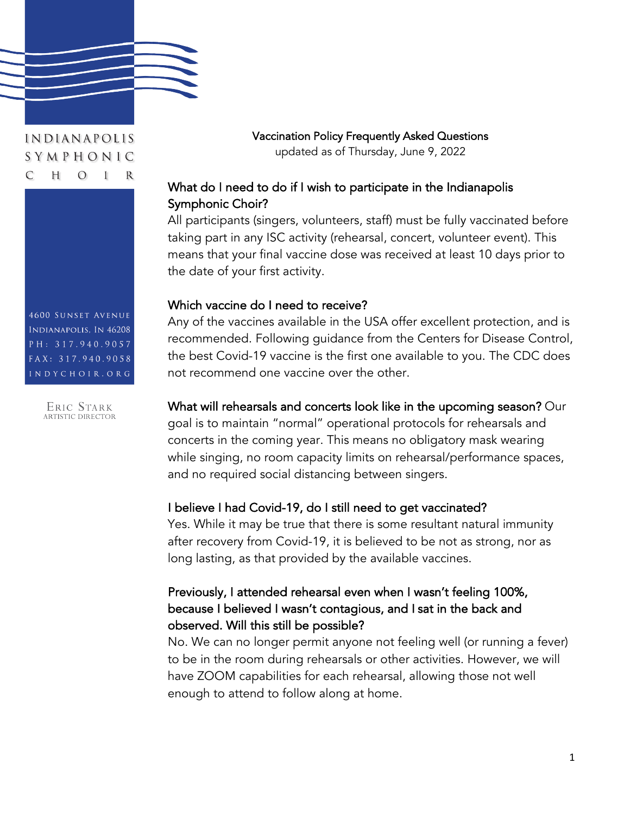

#### INDIANAPOLIS SYMPHONIC  $\overline{C}$ H  $\Omega$

**4600 SUNSET AVENUE** INDIANAPOLIS, IN 46208 PH: 317.940.9057 FAX: 317.940.9058 INDYCHOIR.ORG

ERIC STARK<br>ARTISTIC DIRECTOR

Vaccination Policy Frequently Asked Questions updated as of Thursday, June 9, 2022

# What do I need to do if I wish to participate in the Indianapolis Symphonic Choir?

All participants (singers, volunteers, staff) must be fully vaccinated before taking part in any ISC activity (rehearsal, concert, volunteer event). This means that your final vaccine dose was received at least 10 days prior to the date of your first activity.

#### Which vaccine do I need to receive?

Any of the vaccines available in the USA offer excellent protection, and is recommended. Following guidance from the Centers for Disease Control, the best Covid-19 vaccine is the first one available to you. The CDC does not recommend one vaccine over the other.

#### What will rehearsals and concerts look like in the upcoming season? Our

goal is to maintain "normal" operational protocols for rehearsals and concerts in the coming year. This means no obligatory mask wearing while singing, no room capacity limits on rehearsal/performance spaces, and no required social distancing between singers.

#### I believe I had Covid-19, do I still need to get vaccinated?

Yes. While it may be true that there is some resultant natural immunity after recovery from Covid-19, it is believed to be not as strong, nor as long lasting, as that provided by the available vaccines.

## Previously, I attended rehearsal even when I wasn't feeling 100%, because I believed I wasn't contagious, and I sat in the back and observed. Will this still be possible?

No. We can no longer permit anyone not feeling well (or running a fever) to be in the room during rehearsals or other activities. However, we will have ZOOM capabilities for each rehearsal, allowing those not well enough to attend to follow along at home.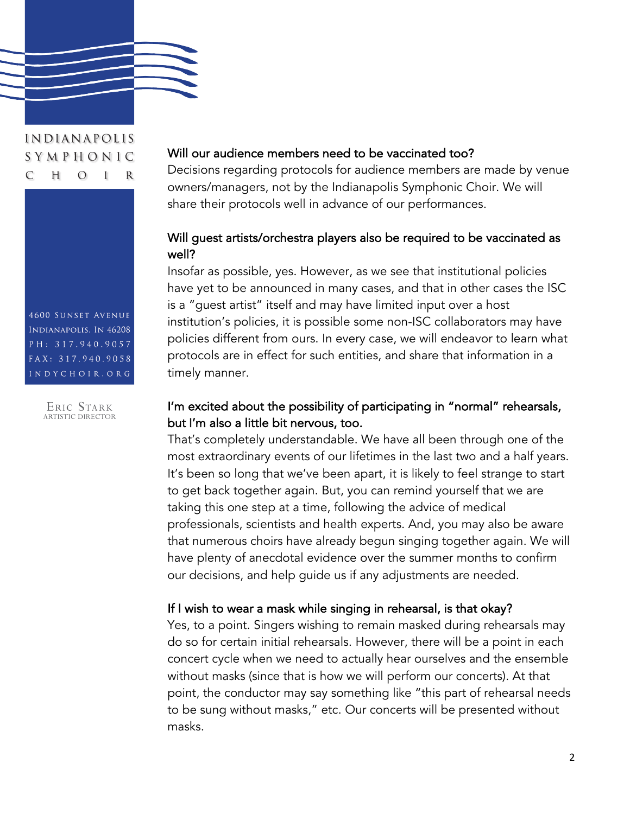

#### INDIANAPOLIS SYMPHONIC  $\overline{C}$ H  $\Omega$ R L

**4600 SUNSET AVENUE** INDIANAPOLIS, IN 46208 PH: 317.940.9057 FAX: 317.940.9058 INDYCHOIR.ORG

ERIC STARK<br>ARTISTIC DIRECTOR

#### Will our audience members need to be vaccinated too?

Decisions regarding protocols for audience members are made by venue owners/managers, not by the Indianapolis Symphonic Choir. We will share their protocols well in advance of our performances.

#### Will guest artists/orchestra players also be required to be vaccinated as well?

Insofar as possible, yes. However, as we see that institutional policies have yet to be announced in many cases, and that in other cases the ISC is a "guest artist" itself and may have limited input over a host institution's policies, it is possible some non-ISC collaborators may have policies different from ours. In every case, we will endeavor to learn what protocols are in effect for such entities, and share that information in a timely manner.

#### I'm excited about the possibility of participating in "normal" rehearsals, but I'm also a little bit nervous, too.

That's completely understandable. We have all been through one of the most extraordinary events of our lifetimes in the last two and a half years. It's been so long that we've been apart, it is likely to feel strange to start to get back together again. But, you can remind yourself that we are taking this one step at a time, following the advice of medical professionals, scientists and health experts. And, you may also be aware that numerous choirs have already begun singing together again. We will have plenty of anecdotal evidence over the summer months to confirm our decisions, and help guide us if any adjustments are needed.

#### If I wish to wear a mask while singing in rehearsal, is that okay?

Yes, to a point. Singers wishing to remain masked during rehearsals may do so for certain initial rehearsals. However, there will be a point in each concert cycle when we need to actually hear ourselves and the ensemble without masks (since that is how we will perform our concerts). At that point, the conductor may say something like "this part of rehearsal needs to be sung without masks," etc. Our concerts will be presented without masks.